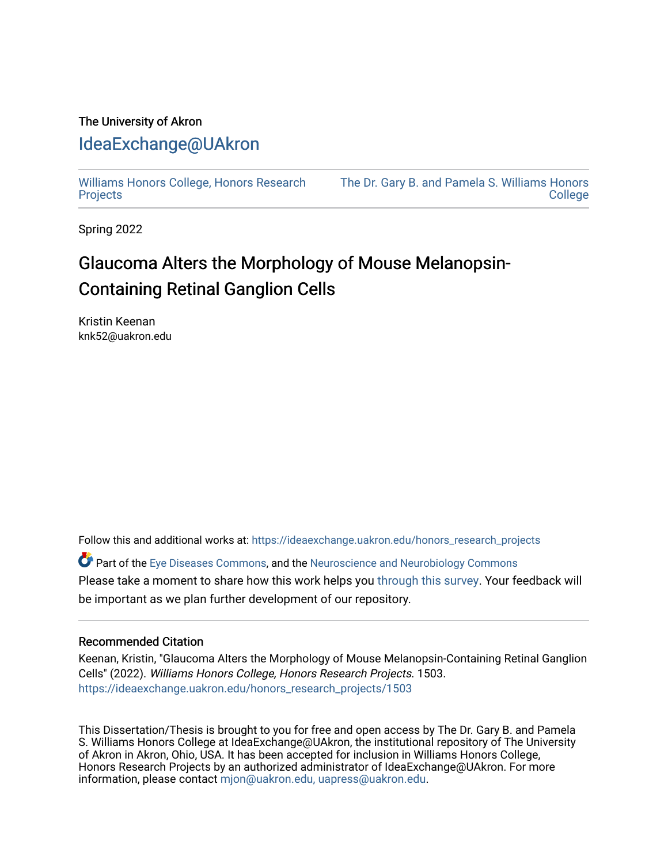## The University of Akron [IdeaExchange@UAkron](https://ideaexchange.uakron.edu/)

[Williams Honors College, Honors Research](https://ideaexchange.uakron.edu/honors_research_projects)  **[Projects](https://ideaexchange.uakron.edu/honors_research_projects)** 

[The Dr. Gary B. and Pamela S. Williams Honors](https://ideaexchange.uakron.edu/honorscollege_ideas)  **College** 

Spring 2022

# Glaucoma Alters the Morphology of Mouse Melanopsin-Containing Retinal Ganglion Cells

Kristin Keenan knk52@uakron.edu

Follow this and additional works at: [https://ideaexchange.uakron.edu/honors\\_research\\_projects](https://ideaexchange.uakron.edu/honors_research_projects?utm_source=ideaexchange.uakron.edu%2Fhonors_research_projects%2F1503&utm_medium=PDF&utm_campaign=PDFCoverPages) 

Part of the [Eye Diseases Commons](http://network.bepress.com/hgg/discipline/957?utm_source=ideaexchange.uakron.edu%2Fhonors_research_projects%2F1503&utm_medium=PDF&utm_campaign=PDFCoverPages), and the [Neuroscience and Neurobiology Commons](http://network.bepress.com/hgg/discipline/55?utm_source=ideaexchange.uakron.edu%2Fhonors_research_projects%2F1503&utm_medium=PDF&utm_campaign=PDFCoverPages)  Please take a moment to share how this work helps you [through this survey](http://survey.az1.qualtrics.com/SE/?SID=SV_eEVH54oiCbOw05f&URL=https://ideaexchange.uakron.edu/honors_research_projects/1503). Your feedback will be important as we plan further development of our repository.

#### Recommended Citation

Keenan, Kristin, "Glaucoma Alters the Morphology of Mouse Melanopsin-Containing Retinal Ganglion Cells" (2022). Williams Honors College, Honors Research Projects. 1503. [https://ideaexchange.uakron.edu/honors\\_research\\_projects/1503](https://ideaexchange.uakron.edu/honors_research_projects/1503?utm_source=ideaexchange.uakron.edu%2Fhonors_research_projects%2F1503&utm_medium=PDF&utm_campaign=PDFCoverPages) 

This Dissertation/Thesis is brought to you for free and open access by The Dr. Gary B. and Pamela S. Williams Honors College at IdeaExchange@UAkron, the institutional repository of The University of Akron in Akron, Ohio, USA. It has been accepted for inclusion in Williams Honors College, Honors Research Projects by an authorized administrator of IdeaExchange@UAkron. For more information, please contact [mjon@uakron.edu, uapress@uakron.edu.](mailto:mjon@uakron.edu,%20uapress@uakron.edu)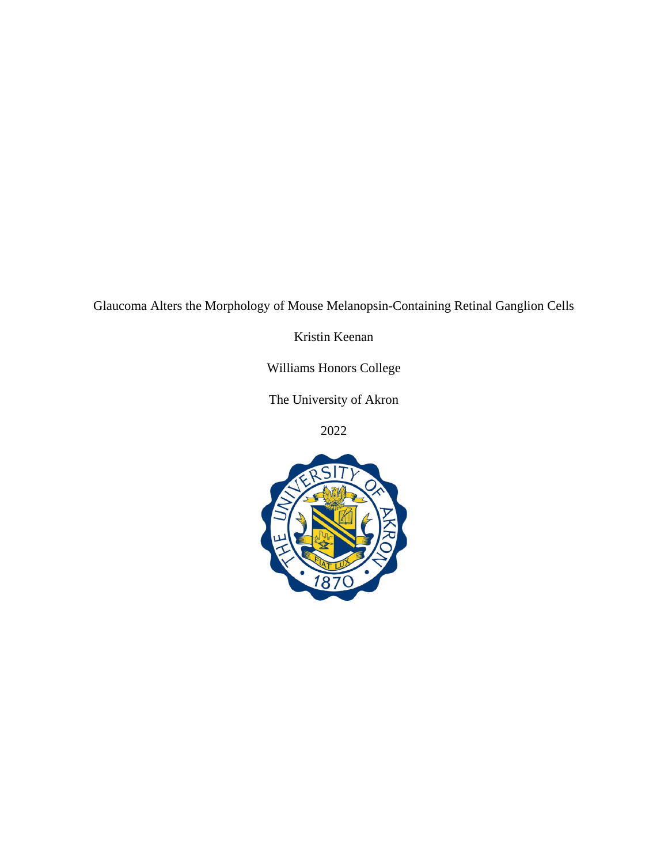Glaucoma Alters the Morphology of Mouse Melanopsin-Containing Retinal Ganglion Cells

Kristin Keenan

Williams Honors College

The University of Akron

2022

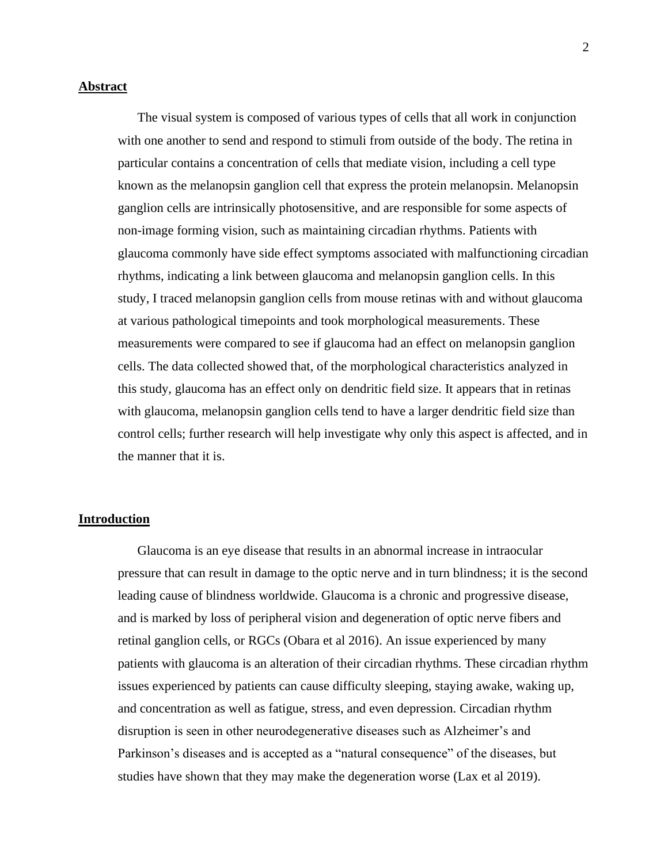#### **Abstract**

The visual system is composed of various types of cells that all work in conjunction with one another to send and respond to stimuli from outside of the body. The retina in particular contains a concentration of cells that mediate vision, including a cell type known as the melanopsin ganglion cell that express the protein melanopsin. Melanopsin ganglion cells are intrinsically photosensitive, and are responsible for some aspects of non-image forming vision, such as maintaining circadian rhythms. Patients with glaucoma commonly have side effect symptoms associated with malfunctioning circadian rhythms, indicating a link between glaucoma and melanopsin ganglion cells. In this study, I traced melanopsin ganglion cells from mouse retinas with and without glaucoma at various pathological timepoints and took morphological measurements. These measurements were compared to see if glaucoma had an effect on melanopsin ganglion cells. The data collected showed that, of the morphological characteristics analyzed in this study, glaucoma has an effect only on dendritic field size. It appears that in retinas with glaucoma, melanopsin ganglion cells tend to have a larger dendritic field size than control cells; further research will help investigate why only this aspect is affected, and in the manner that it is.

#### **Introduction**

Glaucoma is an eye disease that results in an abnormal increase in intraocular pressure that can result in damage to the optic nerve and in turn blindness; it is the second leading cause of blindness worldwide. Glaucoma is a chronic and progressive disease, and is marked by loss of peripheral vision and degeneration of optic nerve fibers and retinal ganglion cells, or RGCs (Obara et al 2016). An issue experienced by many patients with glaucoma is an alteration of their circadian rhythms. These circadian rhythm issues experienced by patients can cause difficulty sleeping, staying awake, waking up, and concentration as well as fatigue, stress, and even depression. Circadian rhythm disruption is seen in other neurodegenerative diseases such as Alzheimer's and Parkinson's diseases and is accepted as a "natural consequence" of the diseases, but studies have shown that they may make the degeneration worse (Lax et al 2019).

2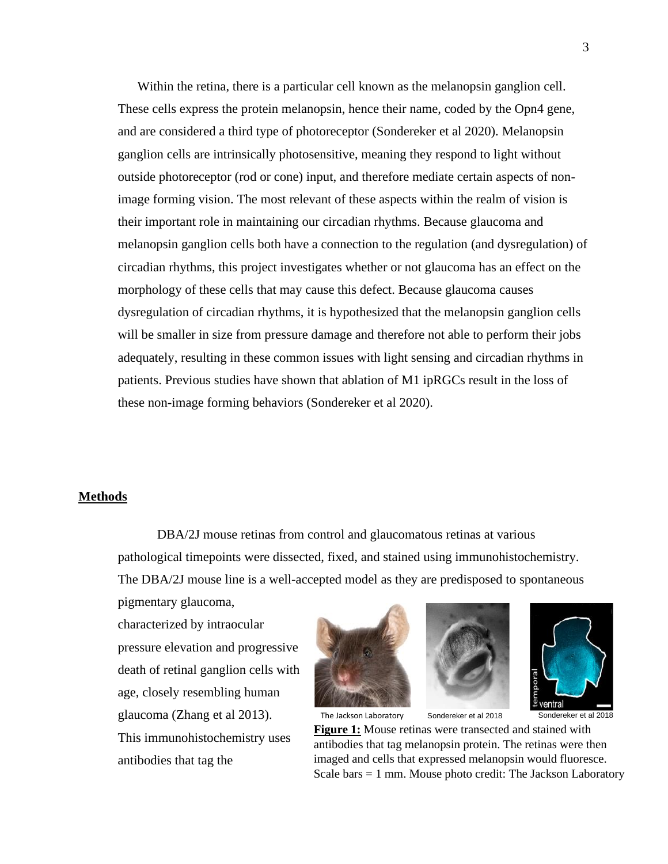Within the retina, there is a particular cell known as the melanopsin ganglion cell. These cells express the protein melanopsin, hence their name, coded by the Opn4 gene, and are considered a third type of photoreceptor (Sondereker et al 2020). Melanopsin ganglion cells are intrinsically photosensitive, meaning they respond to light without outside photoreceptor (rod or cone) input, and therefore mediate certain aspects of nonimage forming vision. The most relevant of these aspects within the realm of vision is their important role in maintaining our circadian rhythms. Because glaucoma and melanopsin ganglion cells both have a connection to the regulation (and dysregulation) of circadian rhythms, this project investigates whether or not glaucoma has an effect on the morphology of these cells that may cause this defect. Because glaucoma causes dysregulation of circadian rhythms, it is hypothesized that the melanopsin ganglion cells will be smaller in size from pressure damage and therefore not able to perform their jobs adequately, resulting in these common issues with light sensing and circadian rhythms in patients. Previous studies have shown that ablation of M1 ipRGCs result in the loss of these non-image forming behaviors (Sondereker et al 2020).

#### **Methods**

DBA/2J mouse retinas from control and glaucomatous retinas at various pathological timepoints were dissected, fixed, and stained using immunohistochemistry. The DBA/2J mouse line is a well-accepted model as they are predisposed to spontaneous

pigmentary glaucoma, characterized by intraocular pressure elevation and progressive death of retinal ganglion cells with age, closely resembling human glaucoma (Zhang et al 2013). This immunohistochemistry uses antibodies that tag the







Sondereker et al 2018 Sondereker et al 2018

**Figure 1:** Mouse retinas were transected and stained with antibodies that tag melanopsin protein. The retinas were then imaged and cells that expressed melanopsin would fluoresce. Scale bars = 1 mm. Mouse photo credit: The Jackson Laboratory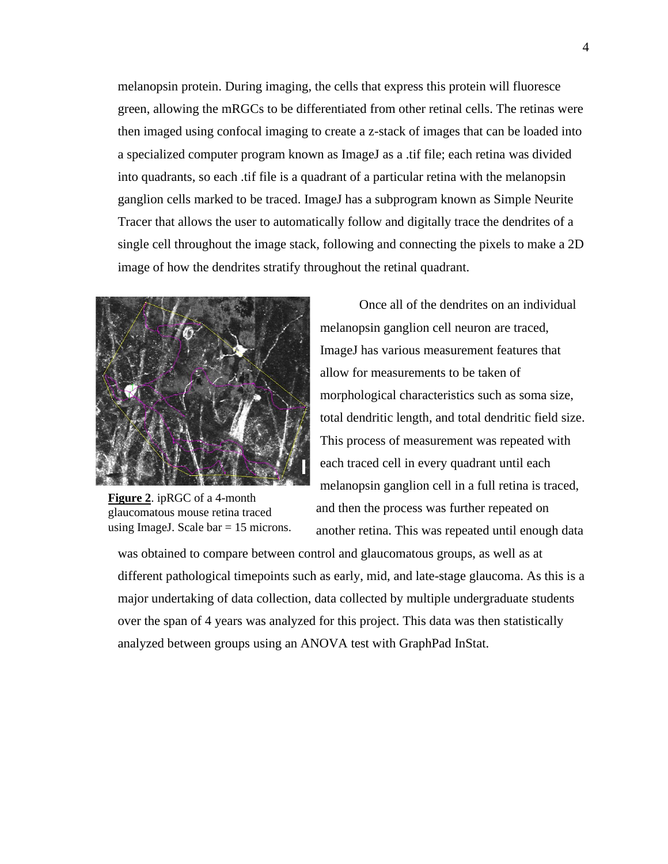melanopsin protein. During imaging, the cells that express this protein will fluoresce green, allowing the mRGCs to be differentiated from other retinal cells. The retinas were then imaged using confocal imaging to create a z-stack of images that can be loaded into a specialized computer program known as ImageJ as a .tif file; each retina was divided into quadrants, so each .tif file is a quadrant of a particular retina with the melanopsin ganglion cells marked to be traced. ImageJ has a subprogram known as Simple Neurite Tracer that allows the user to automatically follow and digitally trace the dendrites of a single cell throughout the image stack, following and connecting the pixels to make a 2D image of how the dendrites stratify throughout the retinal quadrant.



**Figure 2**. ipRGC of a 4-month glaucomatous mouse retina traced using ImageJ. Scale  $bar = 15$  microns.

Once all of the dendrites on an individual melanopsin ganglion cell neuron are traced, ImageJ has various measurement features that allow for measurements to be taken of morphological characteristics such as soma size, total dendritic length, and total dendritic field size. This process of measurement was repeated with each traced cell in every quadrant until each melanopsin ganglion cell in a full retina is traced, and then the process was further repeated on another retina. This was repeated until enough data

was obtained to compare between control and glaucomatous groups, as well as at different pathological timepoints such as early, mid, and late-stage glaucoma. As this is a major undertaking of data collection, data collected by multiple undergraduate students over the span of 4 years was analyzed for this project. This data was then statistically analyzed between groups using an ANOVA test with GraphPad InStat.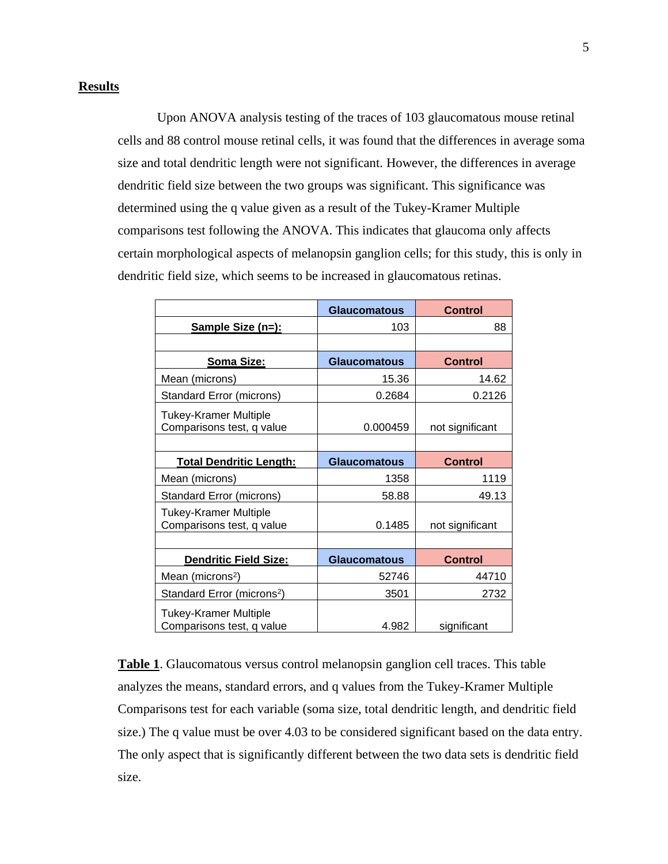#### **Results**

Upon ANOVA analysis testing of the traces of 103 glaucomatous mouse retinal cells and 88 control mouse retinal cells, it was found that the differences in average soma size and total dendritic length were not significant. However, the differences in average dendritic field size between the two groups was significant. This significance was determined using the q value given as a result of the Tukey-Kramer Multiple comparisons test following the ANOVA. This indicates that glaucoma only affects certain morphological aspects of melanopsin ganglion cells; for this study, this is only in dendritic field size, which seems to be increased in glaucomatous retinas.

|                                                           | <b>Glaucomatous</b> | <b>Control</b>  |
|-----------------------------------------------------------|---------------------|-----------------|
| Sample Size (n=):                                         | 103                 | 88              |
|                                                           |                     |                 |
| <b>Soma Size:</b>                                         | <b>Glaucomatous</b> | <b>Control</b>  |
| Mean (microns)                                            | 15.36               | 14.62           |
| Standard Error (microns)                                  | 0.2684              | 0.2126          |
| <b>Tukey-Kramer Multiple</b><br>Comparisons test, q value | 0.000459            | not significant |
|                                                           |                     |                 |
| <b>Total Dendritic Length:</b>                            | <b>Glaucomatous</b> | <b>Control</b>  |
| Mean (microns)                                            | 1358                | 1119            |
| Standard Error (microns)                                  | 58.88               | 49.13           |
| <b>Tukey-Kramer Multiple</b><br>Comparisons test, q value | 0.1485              | not significant |
|                                                           |                     |                 |
| <b>Dendritic Field Size:</b>                              | <b>Glaucomatous</b> | <b>Control</b>  |
| Mean (microns <sup>2</sup> )                              | 52746               | 44710           |
| Standard Error (microns <sup>2</sup> )                    | 3501                | 2732            |
| <b>Tukey-Kramer Multiple</b><br>Comparisons test, q value | 4.982               | significant     |

**Table 1**. Glaucomatous versus control melanopsin ganglion cell traces. This table analyzes the means, standard errors, and q values from the Tukey-Kramer Multiple Comparisons test for each variable (soma size, total dendritic length, and dendritic field size.) The q value must be over 4.03 to be considered significant based on the data entry. The only aspect that is significantly different between the two data sets is dendritic field size.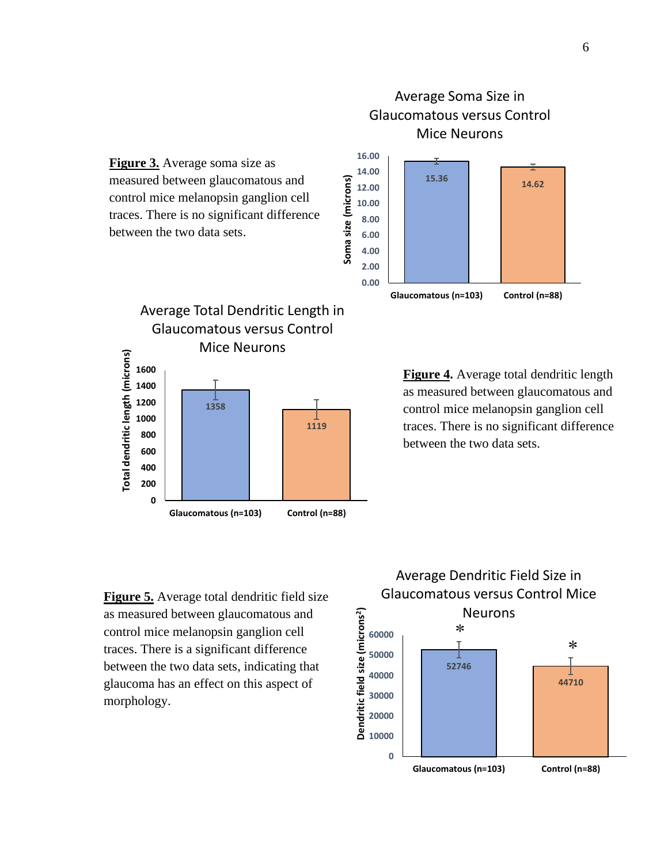

Average Soma Size in Glaucomatous versus Control

**Figure 3.** Average soma size as measured between glaucomatous and control mice melanopsin ganglion cell traces. There is no significant difference between the two data sets.



**Figure 4.** Average total dendritic length as measured between glaucomatous and control mice melanopsin ganglion cell traces. There is no significant difference between the two data sets.

**Figure 5.** Average total dendritic field size as measured between glaucomatous and control mice melanopsin ganglion cell traces. There is a significant difference between the two data sets, indicating that glaucoma has an effect on this aspect of morphology.

#### Average Dendritic Field Size in Glaucomatous versus Control Mice Neurons **2 ) Dendritic field size (microns**  $\ast$ **60000**  $\ast$ **50000** T **52746 40000 44710 30000 20000 10000**

**Glaucomatous (n=103) Control (n=88)**

**0**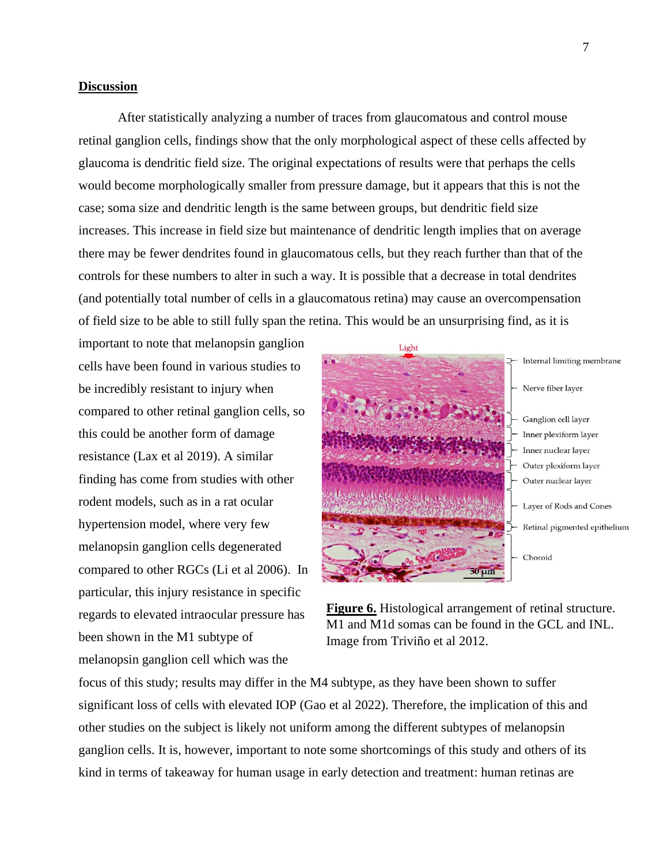#### **Discussion**

After statistically analyzing a number of traces from glaucomatous and control mouse retinal ganglion cells, findings show that the only morphological aspect of these cells affected by glaucoma is dendritic field size. The original expectations of results were that perhaps the cells would become morphologically smaller from pressure damage, but it appears that this is not the case; soma size and dendritic length is the same between groups, but dendritic field size increases. This increase in field size but maintenance of dendritic length implies that on average there may be fewer dendrites found in glaucomatous cells, but they reach further than that of the controls for these numbers to alter in such a way. It is possible that a decrease in total dendrites (and potentially total number of cells in a glaucomatous retina) may cause an overcompensation of field size to be able to still fully span the retina. This would be an unsurprising find, as it is

important to note that melanopsin ganglion cells have been found in various studies to be incredibly resistant to injury when compared to other retinal ganglion cells, so this could be another form of damage resistance (Lax et al 2019). A similar finding has come from studies with other rodent models, such as in a rat ocular hypertension model, where very few melanopsin ganglion cells degenerated compared to other RGCs (Li et al 2006). In particular, this injury resistance in specific regards to elevated intraocular pressure has been shown in the M1 subtype of melanopsin ganglion cell which was the



**Figure 6.** Histological arrangement of retinal structure. M1 and M1d somas can be found in the GCL and INL. Image from Triviño et al 2012.

focus of this study; results may differ in the M4 subtype, as they have been shown to suffer significant loss of cells with elevated IOP (Gao et al 2022). Therefore, the implication of this and other studies on the subject is likely not uniform among the different subtypes of melanopsin ganglion cells. It is, however, important to note some shortcomings of this study and others of its kind in terms of takeaway for human usage in early detection and treatment: human retinas are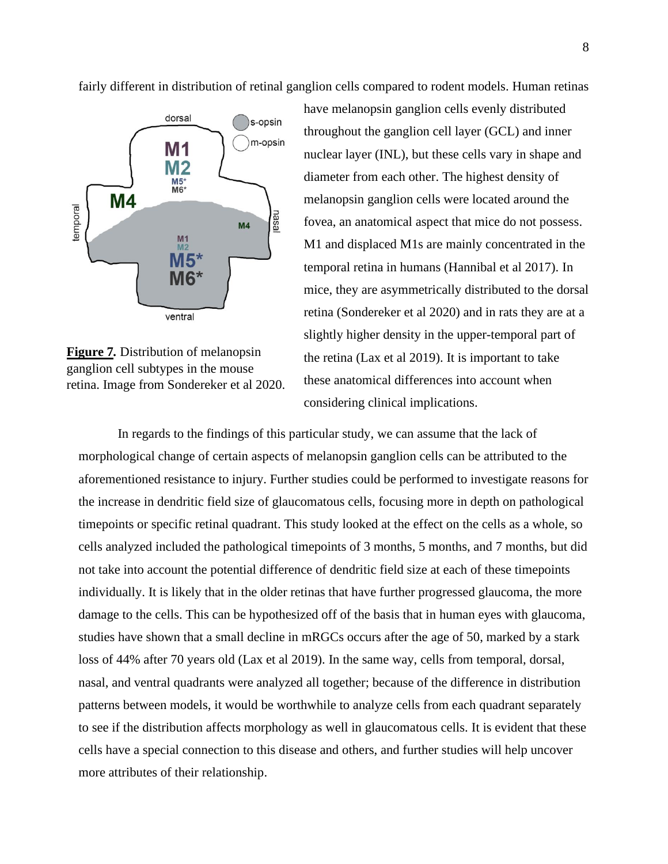fairly different in distribution of retinal ganglion cells compared to rodent models. Human retinas



**Figure 7***.* Distribution of melanopsin ganglion cell subtypes in the mouse retina. Image from Sondereker et al 2020.

have melanopsin ganglion cells evenly distributed throughout the ganglion cell layer (GCL) and inner nuclear layer (INL), but these cells vary in shape and diameter from each other. The highest density of melanopsin ganglion cells were located around the fovea, an anatomical aspect that mice do not possess. M1 and displaced M1s are mainly concentrated in the temporal retina in humans (Hannibal et al 2017). In mice, they are asymmetrically distributed to the dorsal retina (Sondereker et al 2020) and in rats they are at a slightly higher density in the upper-temporal part of the retina (Lax et al 2019). It is important to take these anatomical differences into account when considering clinical implications.

In regards to the findings of this particular study, we can assume that the lack of morphological change of certain aspects of melanopsin ganglion cells can be attributed to the aforementioned resistance to injury. Further studies could be performed to investigate reasons for the increase in dendritic field size of glaucomatous cells, focusing more in depth on pathological timepoints or specific retinal quadrant. This study looked at the effect on the cells as a whole, so cells analyzed included the pathological timepoints of 3 months, 5 months, and 7 months, but did not take into account the potential difference of dendritic field size at each of these timepoints individually. It is likely that in the older retinas that have further progressed glaucoma, the more damage to the cells. This can be hypothesized off of the basis that in human eyes with glaucoma, studies have shown that a small decline in mRGCs occurs after the age of 50, marked by a stark loss of 44% after 70 years old (Lax et al 2019). In the same way, cells from temporal, dorsal, nasal, and ventral quadrants were analyzed all together; because of the difference in distribution patterns between models, it would be worthwhile to analyze cells from each quadrant separately to see if the distribution affects morphology as well in glaucomatous cells. It is evident that these cells have a special connection to this disease and others, and further studies will help uncover more attributes of their relationship.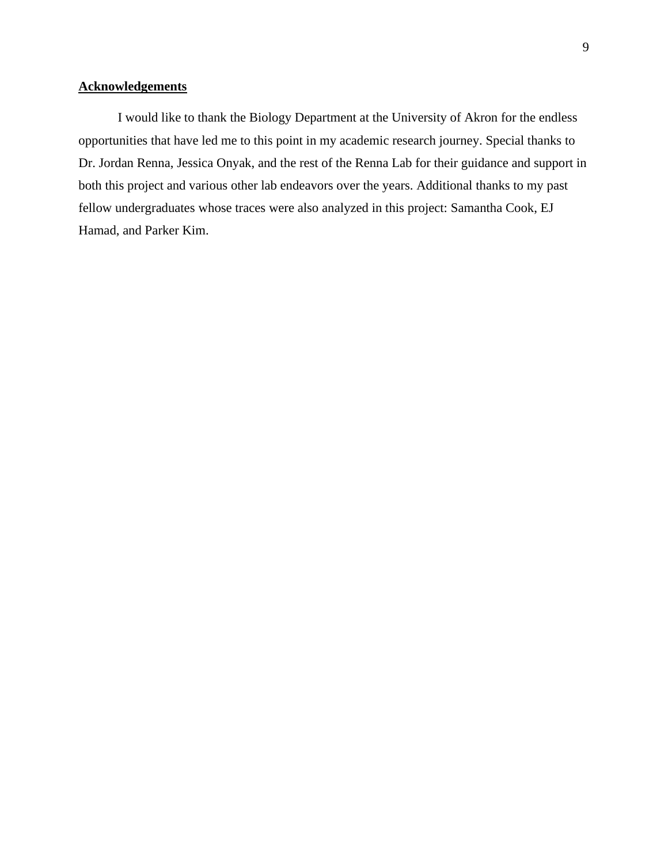### **Acknowledgements**

I would like to thank the Biology Department at the University of Akron for the endless opportunities that have led me to this point in my academic research journey. Special thanks to Dr. Jordan Renna, Jessica Onyak, and the rest of the Renna Lab for their guidance and support in both this project and various other lab endeavors over the years. Additional thanks to my past fellow undergraduates whose traces were also analyzed in this project: Samantha Cook, EJ Hamad, and Parker Kim.